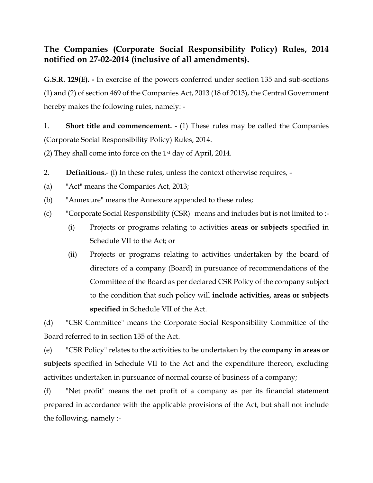# **The Companies (Corporate Social Responsibility Policy) Rules, 2014 notified on 27-02-2014 (inclusive of all amendments).**

**G.S.R. 129(E). -** In exercise of the powers conferred under section 135 and sub-sections (1) and (2) of section 469 of the Companies Act, 2013 (18 of 2013), the Central Government hereby makes the following rules, namely: -

1. **Short title and commencement.** - (1) These rules may be called the Companies (Corporate Social Responsibility Policy) Rules, 2014.

(2) They shall come into force on the  $1<sup>st</sup>$  day of April, 2014.

- 2. **Definitions.** (l) In these rules, unless the context otherwise requires, -
- (a) "Act" means the Companies Act, 2013;
- (b) "Annexure" means the Annexure appended to these rules;
- (c) "Corporate Social Responsibility (CSR)" means and includes but is not limited to :-
	- (i) Projects or programs relating to activities **areas or subjects** specified in Schedule VII to the Act; or
	- (ii) Projects or programs relating to activities undertaken by the board of directors of a company (Board) in pursuance of recommendations of the Committee of the Board as per declared CSR Policy of the company subject to the condition that such policy will **include activities, areas or subjects specified** in Schedule VII of the Act.

(d) "CSR Committee" means the Corporate Social Responsibility Committee of the Board referred to in section 135 of the Act.

(e) "CSR Policy" relates to the activities to be undertaken by the **company in areas or subjects** specified in Schedule VII to the Act and the expenditure thereon, excluding activities undertaken in pursuance of normal course of business of a company;

(f) "Net profit" means the net profit of a company as per its financial statement prepared in accordance with the applicable provisions of the Act, but shall not include the following, namely :-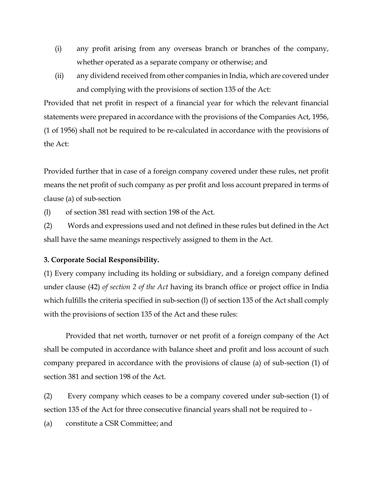- (i) any profit arising from any overseas branch or branches of the company, whether operated as a separate company or otherwise; and
- (ii) any dividend received from other companies in India, which are covered under and complying with the provisions of section 135 of the Act:

Provided that net profit in respect of a financial year for which the relevant financial statements were prepared in accordance with the provisions of the Companies Act, 1956, (1 of 1956) shall not be required to be re-calculated in accordance with the provisions of the Act:

Provided further that in case of a foreign company covered under these rules, net profit means the net profit of such company as per profit and loss account prepared in terms of clause (a) of sub-section

(l) of section 381 read with section 198 of the Act.

(2) Words and expressions used and not defined in these rules but defined in the Act shall have the same meanings respectively assigned to them in the Act.

#### **3. Corporate Social Responsibility.**

(1) Every company including its holding or subsidiary, and a foreign company defined under clause (42) *of section 2 of the Act* having its branch office or project office in India which fulfills the criteria specified in sub-section (l) of section 135 of the Act shall comply with the provisions of section 135 of the Act and these rules:

Provided that net worth, turnover or net profit of a foreign company of the Act shall be computed in accordance with balance sheet and profit and loss account of such company prepared in accordance with the provisions of clause (a) of sub-section (1) of section 381 and section 198 of the Act.

(2) Every company which ceases to be a company covered under sub-section (1) of section 135 of the Act for three consecutive financial years shall not be required to -

(a) constitute a CSR Committee; and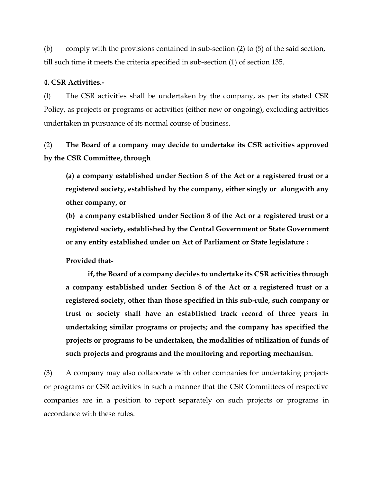(b) comply with the provisions contained in sub-section (2) to (5) of the said section, till such time it meets the criteria specified in sub-section (1) of section 135.

#### **4. CSR Activities.-**

(l) The CSR activities shall be undertaken by the company, as per its stated CSR Policy, as projects or programs or activities (either new or ongoing), excluding activities undertaken in pursuance of its normal course of business.

(2) **The Board of a company may decide to undertake its CSR activities approved by the CSR Committee, through** 

**(a) a company established under Section 8 of the Act or a registered trust or a registered society, established by the company, either singly or alongwith any other company, or** 

**(b) a company established under Section 8 of the Act or a registered trust or a registered society, established by the Central Government or State Government or any entity established under on Act of Parliament or State legislature :**

# **Provided that-**

**if, the Board of a company decides to undertake its CSR activities through a company established under Section 8 of the Act or a registered trust or a registered society, other than those specified in this sub-rule, such company or trust or society shall have an established track record of three years in undertaking similar programs or projects; and the company has specified the projects or programs to be undertaken, the modalities of utilization of funds of such projects and programs and the monitoring and reporting mechanism.**

(3) A company may also collaborate with other companies for undertaking projects or programs or CSR activities in such a manner that the CSR Committees of respective companies are in a position to report separately on such projects or programs in accordance with these rules.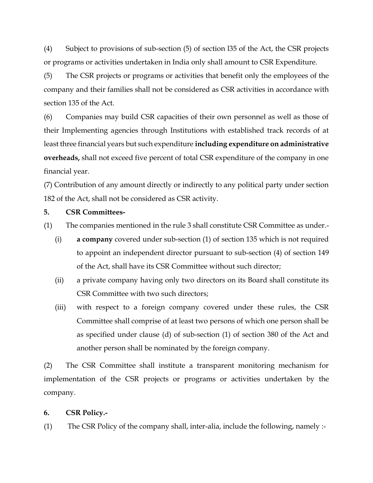(4) Subject to provisions of sub-section (5) of section l35 of the Act, the CSR projects or programs or activities undertaken in India only shall amount to CSR Expenditure.

(5) The CSR projects or programs or activities that benefit only the employees of the company and their families shall not be considered as CSR activities in accordance with section 135 of the Act.

(6) Companies may build CSR capacities of their own personnel as well as those of their Implementing agencies through Institutions with established track records of at least three financial years but such expenditure **including expenditure on administrative overheads,** shall not exceed five percent of total CSR expenditure of the company in one financial year.

(7) Contribution of any amount directly or indirectly to any political party under section 182 of the Act, shall not be considered as CSR activity.

### **5. CSR Committees-**

(1) The companies mentioned in the rule 3 shall constitute CSR Committee as under.-

- (i) **a company** covered under sub-section (1) of section 135 which is not required to appoint an independent director pursuant to sub-section (4) of section 149 of the Act, shall have its CSR Committee without such director;
- (ii) a private company having only two directors on its Board shall constitute its CSR Committee with two such directors;
- (iii) with respect to a foreign company covered under these rules, the CSR Committee shall comprise of at least two persons of which one person shall be as specified under clause (d) of sub-section (1) of section 380 of the Act and another person shall be nominated by the foreign company.

(2) The CSR Committee shall institute a transparent monitoring mechanism for implementation of the CSR projects or programs or activities undertaken by the company.

#### **6. CSR Policy.-**

(1) The CSR Policy of the company shall, inter-alia, include the following, namely :-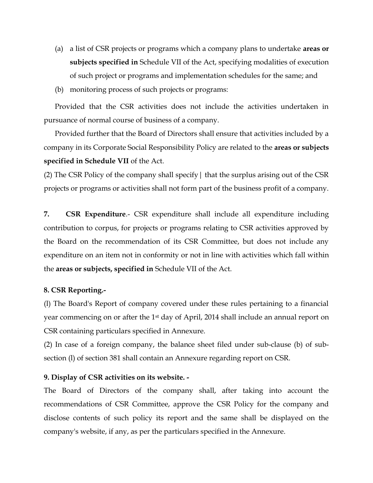- (a) a list of CSR projects or programs which a company plans to undertake **areas or subjects specified in** Schedule VII of the Act, specifying modalities of execution of such project or programs and implementation schedules for the same; and
- (b) monitoring process of such projects or programs:

Provided that the CSR activities does not include the activities undertaken in pursuance of normal course of business of a company.

Provided further that the Board of Directors shall ensure that activities included by a company in its Corporate Social Responsibility Policy are related to the **areas or subjects specified in Schedule VII** of the Act.

(2) The CSR Policy of the company shall specify| that the surplus arising out of the CSR projects or programs or activities shall not form part of the business profit of a company.

**7. CSR Expenditure**.- CSR expenditure shall include all expenditure including contribution to corpus, for projects or programs relating to CSR activities approved by the Board on the recommendation of its CSR Committee, but does not include any expenditure on an item not in conformity or not in line with activities which fall within the **areas or subjects, specified in** Schedule VII of the Act.

# **8. CSR Reporting.-**

(l) The Board's Report of company covered under these rules pertaining to a financial year commencing on or after the 1st day of April, 2014 shall include an annual report on CSR containing particulars specified in Annexure.

(2) In case of a foreign company, the balance sheet filed under sub-clause (b) of subsection (l) of section 381 shall contain an Annexure regarding report on CSR.

# **9. Display of CSR activities on its website. -**

The Board of Directors of the company shall, after taking into account the recommendations of CSR Committee, approve the CSR Policy for the company and disclose contents of such policy its report and the same shall be displayed on the company's website, if any, as per the particulars specified in the Annexure.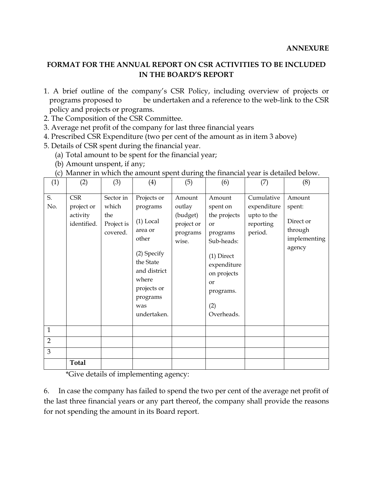# **FORMAT FOR THE ANNUAL REPORT ON CSR ACTIVITIES TO BE INCLUDED IN THE BOARD'S REPORT**

- 1. A brief outline of the company's CSR Policy, including overview of projects or programs proposed to be undertaken and a reference to the web-link to the CSR policy and projects or programs.
- 2. The Composition of the CSR Committee.
- 3. Average net profit of the company for last three financial years
- 4. Prescribed CSR Expenditure (two per cent of the amount as in item 3 above)
- 5. Details of CSR spent during the financial year.
	- (a) Total amount to be spent for the financial year;
	- (b) Amount unspent, if any;

| (1)            | (2)                                                 | (3)                                                 | (4)                                                                                                                                                              | (5)                                                             | (6)                                                                                                                                                             | (7)                                                              | (8)                                                                |
|----------------|-----------------------------------------------------|-----------------------------------------------------|------------------------------------------------------------------------------------------------------------------------------------------------------------------|-----------------------------------------------------------------|-----------------------------------------------------------------------------------------------------------------------------------------------------------------|------------------------------------------------------------------|--------------------------------------------------------------------|
| S.<br>No.      | <b>CSR</b><br>project or<br>activity<br>identified. | Sector in<br>which<br>the<br>Project is<br>covered. | Projects or<br>programs<br>$(1)$ Local<br>area or<br>other<br>(2) Specify<br>the State<br>and district<br>where<br>projects or<br>programs<br>was<br>undertaken. | Amount<br>outlay<br>(budget)<br>project or<br>programs<br>wise. | Amount<br>spent on<br>the projects<br>or<br>programs<br>Sub-heads:<br>$(1)$ Direct<br>expenditure<br>on projects<br><b>or</b><br>programs.<br>(2)<br>Overheads. | Cumulative<br>expenditure<br>upto to the<br>reporting<br>period. | Amount<br>spent:<br>Direct or<br>through<br>implementing<br>agency |
| $\mathbf{1}$   |                                                     |                                                     |                                                                                                                                                                  |                                                                 |                                                                                                                                                                 |                                                                  |                                                                    |
| $\overline{2}$ |                                                     |                                                     |                                                                                                                                                                  |                                                                 |                                                                                                                                                                 |                                                                  |                                                                    |
| 3              |                                                     |                                                     |                                                                                                                                                                  |                                                                 |                                                                                                                                                                 |                                                                  |                                                                    |
|                | <b>Total</b>                                        |                                                     |                                                                                                                                                                  |                                                                 |                                                                                                                                                                 |                                                                  |                                                                    |

(c) Manner in which the amount spent during the financial year is detailed below.

\*Give details of implementing agency:

6. In case the company has failed to spend the two per cent of the average net profit of the last three financial years or any part thereof, the company shall provide the reasons for not spending the amount in its Board report.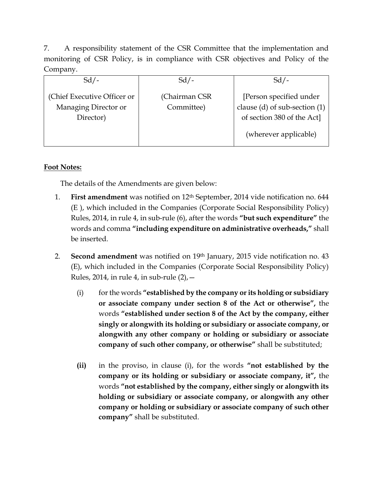7. A responsibility statement of the CSR Committee that the implementation and monitoring of CSR Policy, is in compliance with CSR objectives and Policy of the Company.

| $Sd/-$                                                           | $Sd$ /-                      | $Sd/-$                                                                                                          |
|------------------------------------------------------------------|------------------------------|-----------------------------------------------------------------------------------------------------------------|
| (Chief Executive Officer or<br>Managing Director or<br>Director) | (Chairman CSR)<br>Committee) | [Person specified under<br>clause (d) of sub-section (1)<br>of section 380 of the Act]<br>(wherever applicable) |

# **Foot Notes:**

The details of the Amendments are given below:

- 1. **First amendment** was notified on 12th September, 2014 vide notification no. 644 (E ), which included in the Companies (Corporate Social Responsibility Policy) Rules, 2014, in rule 4, in sub-rule (6), after the words **"but such expenditure"** the words and comma **"including expenditure on administrative overheads,"** shall be inserted.
- 2. **Second amendment** was notified on 19th January, 2015 vide notification no. 43 (E), which included in the Companies (Corporate Social Responsibility Policy) Rules, 2014, in rule 4, in sub-rule  $(2)$ ,  $-$ 
	- (i) for the words **"established by the company or its holding or subsidiary or associate company under section 8 of the Act or otherwise",** the words **"established under section 8 of the Act by the company, either singly or alongwith its holding or subsidiary or associate company, or alongwith any other company or holding or subsidiary or associate company of such other company, or otherwise"** shall be substituted;
	- **(ii)** in the proviso, in clause (i), for the words **"not established by the company or its holding or subsidiary or associate company, it",** the words **"not established by the company, either singly or alongwith its holding or subsidiary or associate company, or alongwith any other company or holding or subsidiary or associate company of such other company"** shall be substituted.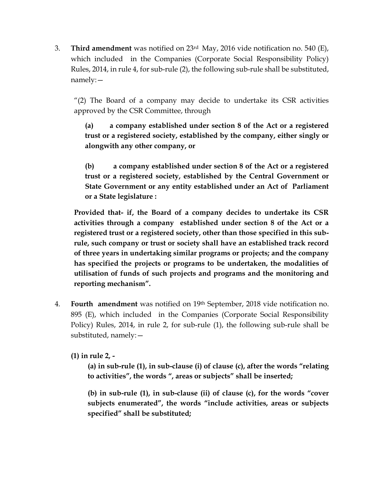3. **Third amendment** was notified on 23rd May, 2016 vide notification no. 540 (E), which included in the Companies (Corporate Social Responsibility Policy) Rules, 2014, in rule 4, for sub-rule (2), the following sub-rule shall be substituted, namely:—

"(2) The Board of a company may decide to undertake its CSR activities approved by the CSR Committee, through

**(a) a company established under section 8 of the Act or a registered trust or a registered society, established by the company, either singly or alongwith any other company, or**

**(b) a company established under section 8 of the Act or a registered trust or a registered society, established by the Central Government or State Government or any entity established under an Act of Parliament or a State legislature :** 

**Provided that- if, the Board of a company decides to undertake its CSR activities through a company established under section 8 of the Act or a registered trust or a registered society, other than those specified in this subrule, such company or trust or society shall have an established track record of three years in undertaking similar programs or projects; and the company has specified the projects or programs to be undertaken, the modalities of utilisation of funds of such projects and programs and the monitoring and reporting mechanism".**

4. **Fourth amendment** was notified on 19th September, 2018 vide notification no. 895 (E), which included in the Companies (Corporate Social Responsibility Policy) Rules, 2014, in rule 2, for sub-rule (1), the following sub-rule shall be substituted, namely:—

**(1) in rule 2, -**

**(a) in sub-rule (1), in sub-clause (i) of clause (c), after the words "relating to activities", the words ", areas or subjects" shall be inserted;**

**(b) in sub-rule (1), in sub-clause (ii) of clause (c), for the words "cover subjects enumerated", the words "include activities, areas or subjects specified" shall be substituted;**